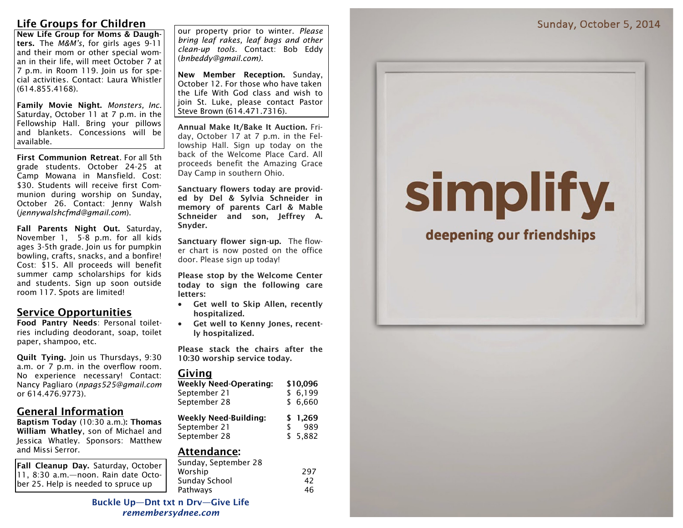# **Life Groups for Children**

**New Life Group for Moms & Daughters.** The *M&M's*, for girls ages 9-11 and their mom or other special woman in their life, will meet October 7 at 7 p.m. in Room 119. Join us for special activities. Contact: Laura Whistler (614.855.4168).

**Family Movie Night.** *Monsters, Inc.*  Saturday, October 11 at 7 p.m. in the Fellowship Hall. Bring your pillows and blankets. Concessions will be available.

**First Communion Retreat**. For all 5th grade students. October 24-25 at Camp Mowana in Mansfield. Cost: \$30. Students will receive first Communion during worship on Sunday, October 26. Contact: Jenny Walsh (*jennywalshcfmd@gmail.com*).

**Fall Parents Night Out.** Saturday, November 1, 5-8 p.m. for all kids ages 3-5th grade. Join us for pumpkin bowling, crafts, snacks, and a bonfire! Cost: \$15. All proceeds will benefit summer camp scholarships for kids and students. Sign up soon outside room 117. Spots are limited!

# **Service Opportunities**

**Food Pantry Needs**: Personal toiletries including deodorant, soap, toilet paper, shampoo, etc.

**Quilt Tying.** Join us Thursdays, 9:30 a.m. or 7 p.m. in the overflow room. No experience necessary! Contact: Nancy Pagliaro (*npags525@gmail.com* or 614.476.9773).

# **General Information**

**Baptism Today** (10:30 a.m.)**: Thomas William Whatley**, son of Michael and Jessica Whatley. Sponsors: Matthew and Missi Serror.

**Fall Cleanup Day.** Saturday, October 11, 8:30 a.m.—noon. Rain date October 25. Help is needed to spruce up

our property prior to winter. *Please bring leaf rakes, leaf bags and other clean-up tools.* Contact: Bob Eddy (*bnbeddy@gmail.com).*

**New Member Reception.** Sunday, October 12. For those who have taken the Life With God class and wish to join St. Luke, please contact Pastor Steve Brown (614.471.7316).

**Annual Make It/Bake It Auction.** Friday, October 17 at 7 p.m. in the Fellowship Hall. Sign up today on the back of the Welcome Place Card. All proceeds benefit the Amazing Grace Day Camp in southern Ohio.

**Sanctuary flowers today are provided by Del & Sylvia Schneider in memory of parents Carl & Mable Schneider and son, Jeffrey A. Snyder.** 

**Sanctuary flower sign-up.** The flower chart is now posted on the office door. Please sign up today!

**Please stop by the Welcome Center today to sign the following care letters:**

- **Get well to Skip Allen, recently hospitalized.**
- **Get well to Kenny Jones, recently hospitalized.**

**Please stack the chairs after the 10:30 worship service today.**

## **Giving**

| <b>Weekly Need-Operating:</b> | \$10.096  |
|-------------------------------|-----------|
| September 21                  | \$6,199   |
| September 28                  | \$6,660   |
|                               |           |
| <b>Weekly Need-Building:</b>  | \$1,269   |
| September 21                  | \$<br>989 |

## **Attendance:**

| Sunday, September 28 |     |
|----------------------|-----|
| Worship              | 297 |
| Sunday School        | 42  |
| Pathways             | 46  |

### **Buckle Up—Dnt txt n Drv—Give Life** *remembersydnee.com*

# simplify.

# deepening our friendships